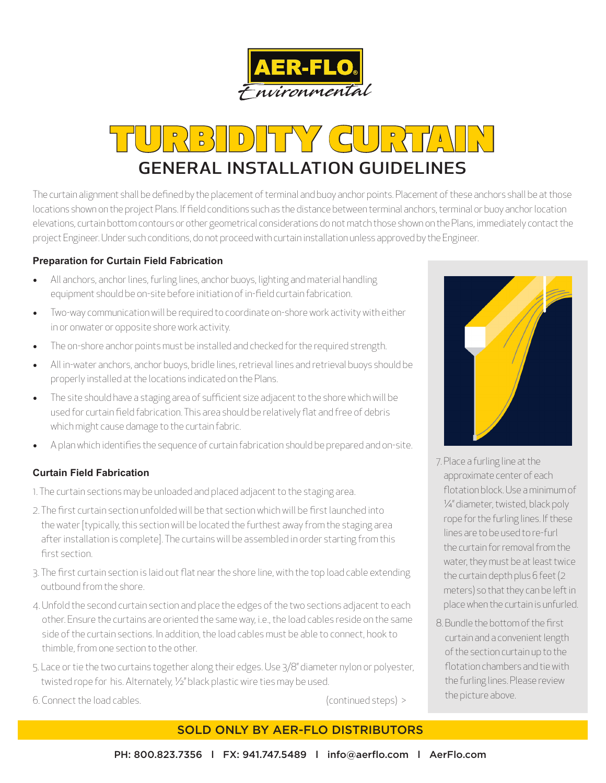

# TURBIDITY CURTAIN

The curtain alignment shall be defined by the placement of terminal and buoy anchor points. Placement of these anchors shall be at those locations shown on the project Plans. If field conditions such as the distance between terminal anchors, terminal or buoy anchor location elevations, curtain bottom contours or other geometrical considerations do not match those shown on the Plans, immediately contact the project Engineer. Under such conditions, do not proceed with curtain installation unless approved by the Engineer.

### **Preparation for Curtain Field Fabrication**

- All anchors, anchor lines, furling lines, anchor buoys, lighting and material handling equipment should be on-site before initiation of in-field curtain fabrication.
- Two-way communication will be required to coordinate on-shore work activity with either in or onwater or opposite shore work activity.
- The on-shore anchor points must be installed and checked for the required strength.
- All in-water anchors, anchor buoys, bridle lines, retrieval lines and retrieval buoys should be properly installed at the locations indicated on the Plans.
- The site should have a staging area of sufficient size adjacent to the shore which will be used for curtain field fabrication. This area should be relatively flat and free of debris which might cause damage to the curtain fabric.
- A plan which identifies the sequence of curtain fabrication should be prepared and on-site.

#### **Curtain Field Fabrication**

1. The curtain sections may be unloaded and placed adjacent to the staging area.

- 2. The first curtain section unfolded will be that section which will be first launched into the water [typically, this section will be located the furthest away from the staging area after installation is complete]. The curtains will be assembled in order starting from this first section.
- 3. The first curtain section is laid out flat near the shore line, with the top load cable extending outbound from the shore.
- 4. Unfold the second curtain section and place the edges of the two sections adjacent to each other. Ensure the curtains are oriented the same way, i.e., the load cables reside on the same side of the curtain sections. In addition, the load cables must be able to connect, hook to thimble, from one section to the other.
- 5. Lace or tie the two curtains together along their edges. Use 3/8" diameter nylon or polyester, twisted rope for his. Alternately, ½" black plastic wire ties may be used.
- 6. Connect the load cables. (continued steps) >

## SOLD ONLY BY AER-FLO DISTRIBUTORS



- 7. Place a furling line at the approximate center of each flotation block. Use a minimum of ¼" diameter, twisted, black poly rope for the furling lines. If these lines are to be used to re-furl the curtain for removal from the water, they must be at least twice the curtain depth plus 6 feet (2 meters) so that they can be left in place when the curtain is unfurled.
- 8. Bundle the bottom of the first curtain and a convenient length of the section curtain up to the flotation chambers and tie with the furling lines. Please review the picture above.